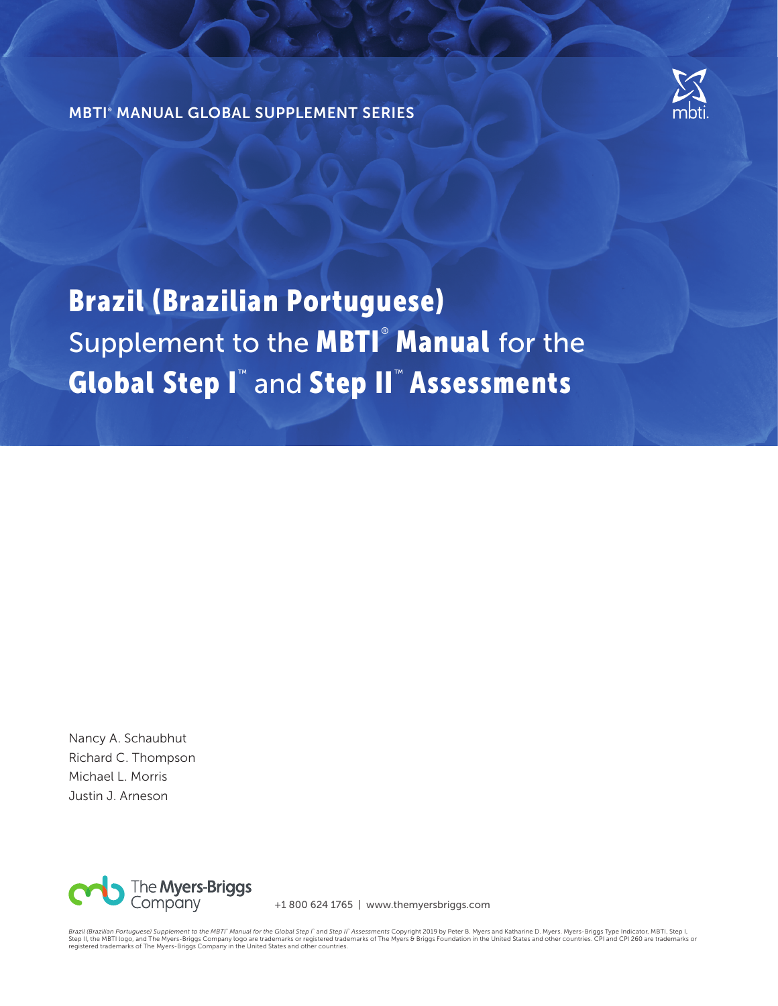

MBTI® MANUAL GLOBAL SUPPLEMENT SERIES

# Brazil (Brazilian Portuguese) Supplement to the **MBTI<sup>®</sup> Manual** for the Global Step I™ and Step II™ Assessments

Nancy A. Schaubhut Richard C. Thompson Michael L. Morris Justin J. Arneson



+1 800 624 1765 | www.themyersbriggs.com

*Brazil (Brazilian Portuguese) Supplement to the MBTi" Manual for the Global Step I` a*nd Step Ii<sup>n</sup> Assessments Copyright 2019 by Peter B. Myers and Katharine D. Myers. Myers-Briggs Type Indicator, MBTI, Step I,<br>Step II,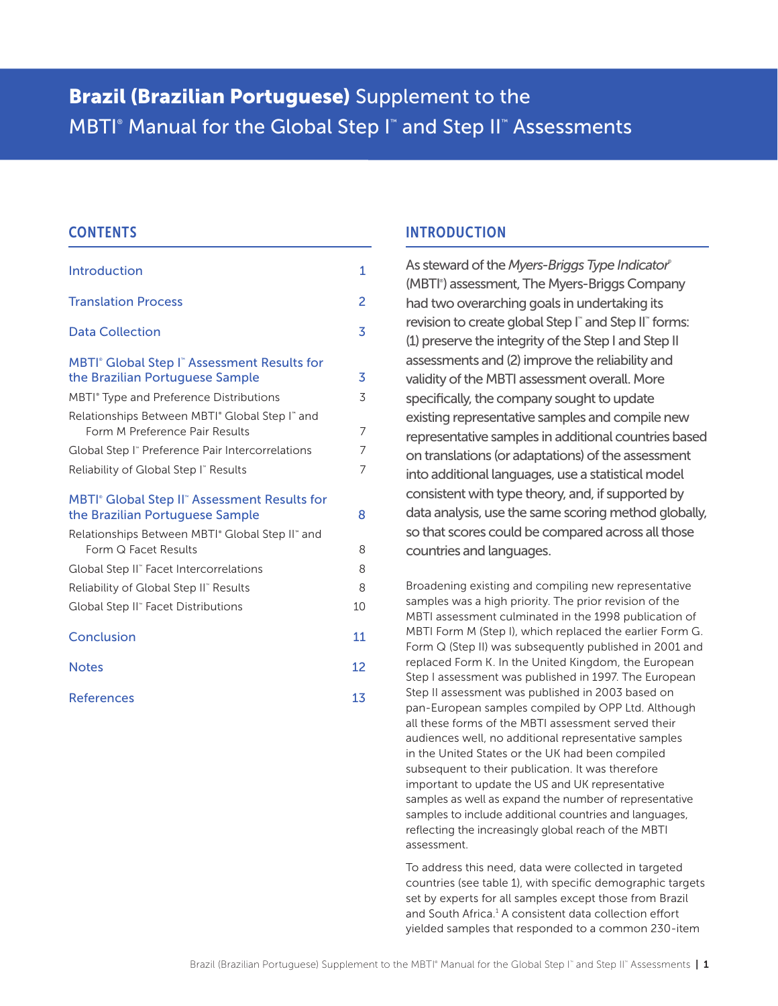# Brazil (Brazilian Portuguese) Supplement to the MBTI<sup>®</sup> Manual for the Global Step I<sup>™</sup> and Step II™ Assessments

# **CONTENTS**

| <b>Introduction</b>                                                                                                                                           | 1              |
|---------------------------------------------------------------------------------------------------------------------------------------------------------------|----------------|
| <b>Translation Process</b>                                                                                                                                    | 2              |
| <b>Data Collection</b>                                                                                                                                        | 3              |
| MBTI <sup>®</sup> Global Step I <sup>™</sup> Assessment Results for<br>the Brazilian Portuguese Sample<br>MBTI <sup>®</sup> Type and Preference Distributions | 3<br>3         |
| Relationships Between MBTI <sup>®</sup> Global Step I <sup>®</sup> and<br>Form M Preference Pair Results                                                      | $\overline{7}$ |
| Global Step I" Preference Pair Intercorrelations                                                                                                              | 7              |
| Reliability of Global Step I" Results                                                                                                                         | 7              |
| MBTI® Global Step II® Assessment Results for<br>the Brazilian Portuguese Sample                                                                               | 8              |
| Relationships Between MBTI° Global Step II" and<br>Form Q Facet Results                                                                                       | 8              |
| Global Step II" Facet Intercorrelations                                                                                                                       | 8              |
| Reliability of Global Step II" Results                                                                                                                        | 8              |
| Global Step II" Facet Distributions                                                                                                                           | 10             |
| Conclusion                                                                                                                                                    | 11             |
| <b>Notes</b>                                                                                                                                                  | 12             |
| <b>References</b>                                                                                                                                             | 13             |

# INTRODUCTION

As steward of the *Myers-Briggs Type Indicator*® (MBTI<sup>®</sup>) assessment, The Myers-Briggs Company had two overarching goals in undertaking its revision to create global Step I<sup>™</sup> and Step II<sup>™</sup> forms: (1) preserve the integrity of the Step I and Step II assessments and (2) improve the reliability and validity of the MBTI assessment overall. More specifically, the company sought to update existing representative samples and compile new representative samples in additional countries based on translations (or adaptations) of the assessment into additional languages, use a statistical model consistent with type theory, and, if supported by data analysis, use the same scoring method globally, so that scores could be compared across all those countries and languages.

Broadening existing and compiling new representative samples was a high priority. The prior revision of the MBTI assessment culminated in the 1998 publication of MBTI Form M (Step I), which replaced the earlier Form G. Form Q (Step II) was subsequently published in 2001 and replaced Form K. In the United Kingdom, the European Step I assessment was published in 1997. The European Step II assessment was published in 2003 based on pan-European samples compiled by OPP Ltd. Although all these forms of the MBTI assessment served their audiences well, no additional representative samples in the United States or the UK had been compiled subsequent to their publication. It was therefore important to update the US and UK representative samples as well as expand the number of representative samples to include additional countries and languages, reflecting the increasingly global reach of the MBTI assessment.

To address this need, data were collected in targeted countries (see table 1), with specific demographic targets set by experts for all samples except those from Brazil and South Africa.<sup>1</sup> A consistent data collection effort yielded samples that responded to a common 230-item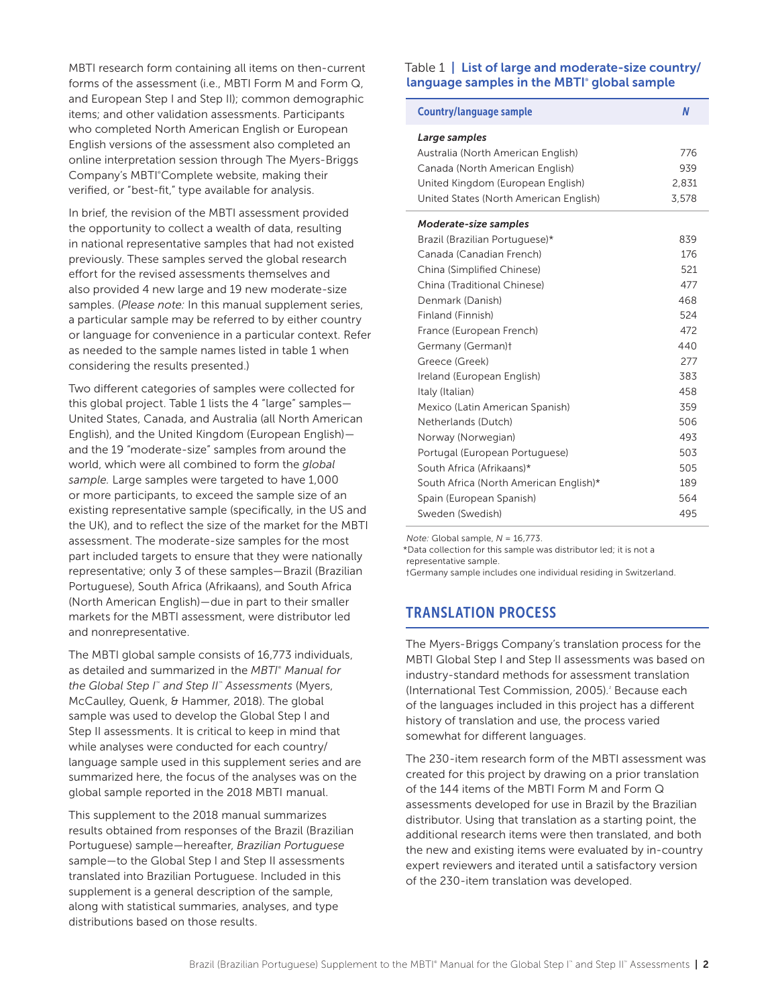MBTI research form containing all items on then-current forms of the assessment (i.e., MBTI Form M and Form Q, and European Step I and Step II); common demographic items; and other validation assessments. Participants who completed North American English or European English versions of the assessment also completed an online interpretation session through The Myers-Briggs Company's MBTI°Complete website, making their verified, or "best-fit," type available for analysis.

In brief, the revision of the MBTI assessment provided the opportunity to collect a wealth of data, resulting in national representative samples that had not existed previously. These samples served the global research effort for the revised assessments themselves and also provided 4 new large and 19 new moderate-size samples. (*Please note:* In this manual supplement series, a particular sample may be referred to by either country or language for convenience in a particular context. Refer as needed to the sample names listed in table 1 when considering the results presented.)

Two different categories of samples were collected for this global project. Table 1 lists the 4 "large" samples— United States, Canada, and Australia (all North American English), and the United Kingdom (European English) and the 19 "moderate-size" samples from around the world, which were all combined to form the *global sample.* Large samples were targeted to have 1,000 or more participants, to exceed the sample size of an existing representative sample (specifically, in the US and the UK), and to reflect the size of the market for the MBTI assessment. The moderate-size samples for the most part included targets to ensure that they were nationally representative; only 3 of these samples—Brazil (Brazilian Portuguese), South Africa (Afrikaans), and South Africa (North American English)—due in part to their smaller markets for the MBTI assessment, were distributor led and nonrepresentative.

The MBTI global sample consists of 16,773 individuals, as detailed and summarized in the MBTI<sup>®</sup> Manual for *the Global Step I*™  *and Step II*™  *Assessments* (Myers, McCaulley, Quenk, & Hammer, 2018). The global sample was used to develop the Global Step I and Step II assessments. It is critical to keep in mind that while analyses were conducted for each country/ language sample used in this supplement series and are summarized here, the focus of the analyses was on the global sample reported in the 2018 MBTI manual.

This supplement to the 2018 manual summarizes results obtained from responses of the Brazil (Brazilian Portuguese) sample—hereafter, *Brazilian Portuguese* sample-to the Global Step I and Step II assessments translated into Brazilian Portuguese. Included in this supplement is a general description of the sample, along with statistical summaries, analyses, and type distributions based on those results.

#### Table 1 | List of large and moderate-size country/ language samples in the MBTI<sup>®</sup> global sample

| <b>Country/language sample</b>         | N     |
|----------------------------------------|-------|
| Large samples                          |       |
| Australia (North American English)     | 776   |
| Canada (North American English)        | 939   |
| United Kingdom (European English)      | 2,831 |
| United States (North American English) | 3,578 |
| Moderate-size samples                  |       |
| Brazil (Brazilian Portuguese)*         | 839   |
| Canada (Canadian French)               | 176   |
| China (Simplified Chinese)             | 521   |
| China (Traditional Chinese)            | 477   |
| Denmark (Danish)                       | 468   |
| Finland (Finnish)                      | 524   |
| France (European French)               | 472   |
| Germany (German)t                      | 440   |
| Greece (Greek)                         | 277   |
| Ireland (European English)             | 383   |
| Italy (Italian)                        | 458   |
| Mexico (Latin American Spanish)        | 359   |
| Netherlands (Dutch)                    | 506   |
| Norway (Norwegian)                     | 493   |
| Portugal (European Portuguese)         | 503   |
| South Africa (Afrikaans)*              | 505   |
| South Africa (North American English)* | 189   |
| Spain (European Spanish)               | 564   |
| Sweden (Swedish)                       | 495   |

*Note:* Global sample, *N* = 16,773.

\*Data collection for this sample was distributor led; it is not a representative sample.

†Germany sample includes one individual residing in Switzerland.

# TRANSLATION PROCESS

The Myers-Briggs Company's translation process for the MBTI Global Step I and Step II assessments was based on industry-standard methods for assessment translation (International Test Commission, 2005).<sup>2</sup> Because each of the languages included in this project has a different history of translation and use, the process varied somewhat for different languages.

The 230-item research form of the MBTI assessment was created for this project by drawing on a prior translation of the 144 items of the MBTI Form M and Form Q assessments developed for use in Brazil by the Brazilian distributor. Using that translation as a starting point, the additional research items were then translated, and both the new and existing items were evaluated by in-country expert reviewers and iterated until a satisfactory version of the 230-item translation was developed.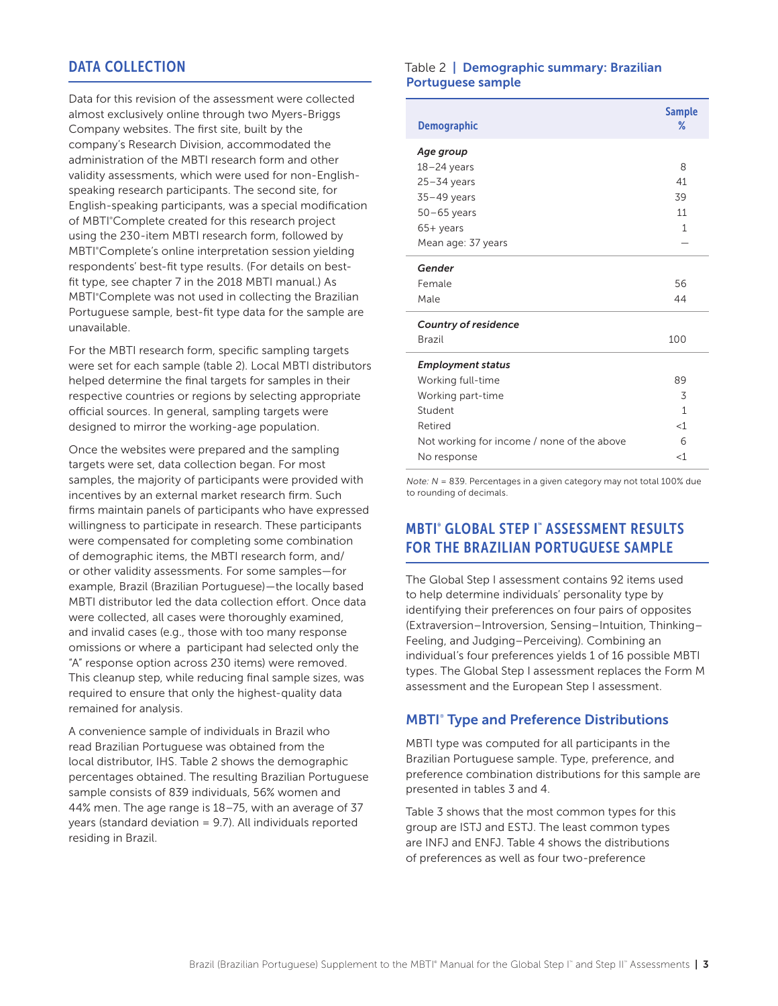# DATA COLLECTION

Data for this revision of the assessment were collected almost exclusively online through two Myers-Briggs Company websites. The first site, built by the company's Research Division, accommodated the administration of the MBTI research form and other validity assessments, which were used for non-Englishspeaking research participants. The second site, for English-speaking participants, was a special modification of MBTI°Complete created for this research project using the 230-item MBTI research form, followed by MBTI°Complete's online interpretation session yielding respondents' best-fit type results. (For details on bestfit type, see chapter 7 in the 2018 MBTI manual.) As MBTI°Complete was not used in collecting the Brazilian Portuguese sample, best-fit type data for the sample are unavailable.

For the MBTI research form, specific sampling targets were set for each sample (table 2). Local MBTI distributors helped determine the final targets for samples in their respective countries or regions by selecting appropriate official sources. In general, sampling targets were designed to mirror the working-age population.

Once the websites were prepared and the sampling targets were set, data collection began. For most samples, the majority of participants were provided with incentives by an external market research firm. Such firms maintain panels of participants who have expressed willingness to participate in research. These participants were compensated for completing some combination of demographic items, the MBTI research form, and/ or other validity assessments. For some samples—for example, Brazil (Brazilian Portuguese)—the locally based MBTI distributor led the data collection effort. Once data were collected, all cases were thoroughly examined, and invalid cases (e.g., those with too many response omissions or where a participant had selected only the "A" response option across 230 items) were removed. This cleanup step, while reducing final sample sizes, was required to ensure that only the highest-quality data remained for analysis.

A convenience sample of individuals in Brazil who read Brazilian Portuguese was obtained from the local distributor, IHS. Table 2 shows the demographic percentages obtained. The resulting Brazilian Portuguese sample consists of 839 individuals, 56% women and 44% men. The age range is 18–75, with an average of 37 years (standard deviation = 9.7). All individuals reported residing in Brazil.

#### Table 2 | Demographic summary: Brazilian Portuguese sample

| <b>Demographic</b>                         | <b>Sample</b><br>℅ |
|--------------------------------------------|--------------------|
| Age group                                  |                    |
| $18 - 24$ years                            | 8                  |
| $25 - 34$ years                            | 41                 |
| $35-49$ years                              | 39                 |
| $50 - 65$ years                            | 11                 |
| $65+$ years                                | $\mathbf{1}$       |
| Mean age: 37 years                         |                    |
| Gender                                     |                    |
| Female                                     | 56                 |
| Male                                       | 44                 |
| <b>Country of residence</b>                |                    |
| <b>Brazil</b>                              | 100                |
| <b>Employment status</b>                   |                    |
| Working full-time                          | 89                 |
| Working part-time                          | 3                  |
| Student                                    | $\mathbf{1}$       |
| Retired                                    | $<$ 1              |
| Not working for income / none of the above | 6                  |
| No response                                | $<$ 1              |

*Note: N* = 839. Percentages in a given category may not total 100% due to rounding of decimals.

# MBTI® GLOBAL STEP I™ ASSESSMENT RESULTS FOR THE BRAZILIAN PORTUGUESE SAMPLE

The Global Step I assessment contains 92 items used to help determine individuals' personality type by identifying their preferences on four pairs of opposites (Extraversion–Introversion, Sensing–Intuition, Thinking– Feeling, and Judging–Perceiving). Combining an individual's four preferences yields 1 of 16 possible MBTI types. The Global Step I assessment replaces the Form M assessment and the European Step I assessment.

# **MBTI<sup>®</sup> Type and Preference Distributions**

MBTI type was computed for all participants in the Brazilian Portuguese sample. Type, preference, and preference combination distributions for this sample are presented in tables 3 and 4.

Table 3 shows that the most common types for this group are ISTJ and ESTJ. The least common types are INFJ and ENFJ. Table 4 shows the distributions of preferences as well as four two-preference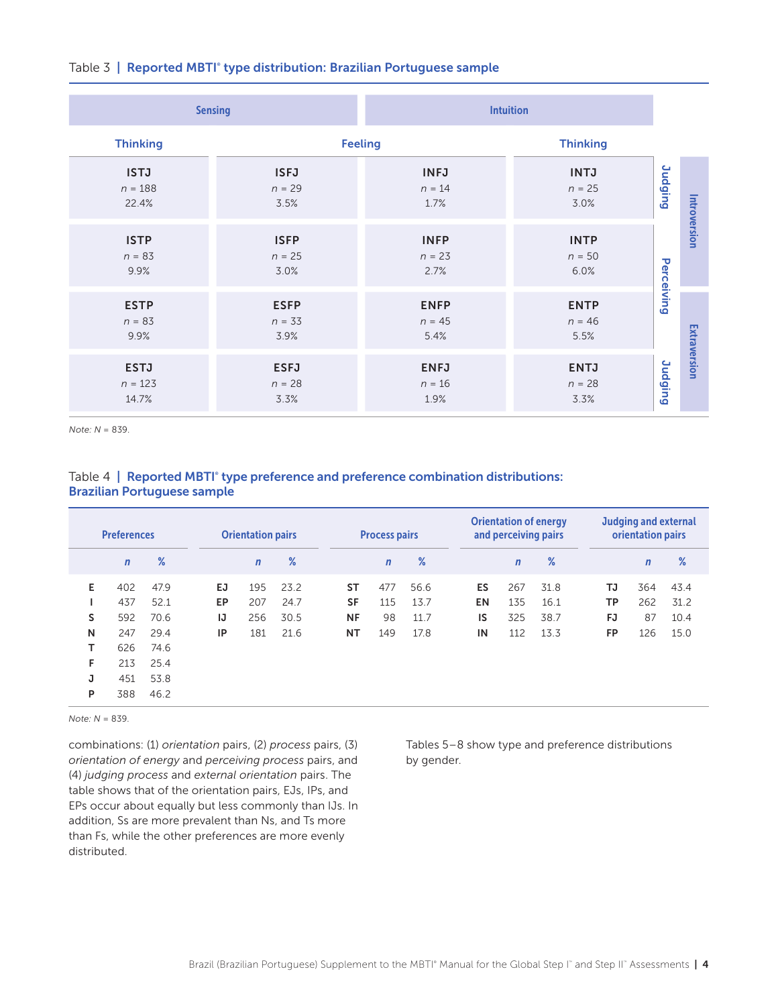|                                   | <b>Sensing</b>                  | <b>Intuition</b>                |                                 |                |              |  |
|-----------------------------------|---------------------------------|---------------------------------|---------------------------------|----------------|--------------|--|
| <b>Thinking</b>                   | <b>Feeling</b>                  | <b>Thinking</b>                 |                                 |                |              |  |
| <b>ISTJ</b><br>$n = 188$<br>22.4% | <b>ISFJ</b><br>$n = 29$<br>3.5% | <b>INFJ</b><br>$n = 14$<br>1.7% | <b>INTJ</b><br>$n = 25$<br>3.0% | <b>Judging</b> |              |  |
| <b>ISTP</b><br>$n = 83$<br>9.9%   | <b>ISFP</b><br>$n = 25$<br>3.0% | <b>INFP</b><br>$n = 23$<br>2.7% | <b>INTP</b><br>$n = 50$<br>6.0% | Perceiving     | Introversion |  |
| <b>ESTP</b><br>$n = 83$<br>9.9%   | <b>ESFP</b><br>$n = 33$<br>3.9% | <b>ENFP</b><br>$n = 45$<br>5.4% | <b>ENTP</b><br>$n = 46$<br>5.5% |                |              |  |
| <b>ESTJ</b><br>$n = 123$<br>14.7% | <b>ESFJ</b><br>$n = 28$<br>3.3% | <b>ENFJ</b><br>$n = 16$<br>1.9% | <b>ENTJ</b><br>$n = 28$<br>3.3% | <b>Judging</b> | Extraversion |  |

#### Table 3 | Reported MBTI° type distribution: Brazilian Portuguese sample

*Note: N* = 839.

# Table  $4 \mid$  Reported MBTI° type preference and preference combination distributions: Brazilian Portuguese sample

| <b>Preferences</b> |             |      | <b>Orientation pairs</b> |              |      | <b>Process pairs</b> |             |      | <b>Orientation of energy</b><br>and perceiving pairs |              |      | <b>Judging and external</b><br>orientation pairs |             |      |  |
|--------------------|-------------|------|--------------------------|--------------|------|----------------------|-------------|------|------------------------------------------------------|--------------|------|--------------------------------------------------|-------------|------|--|
|                    | $\mathbf n$ | $\%$ |                          | $\mathsf{n}$ | $\%$ |                      | $\mathbf n$ | $\%$ |                                                      | $\mathsf{n}$ | %    |                                                  | $\mathbf n$ | $\%$ |  |
| Е                  | 402         | 47.9 | EJ                       | 195          | 23.2 | <b>ST</b>            | 477         | 56.6 | ES                                                   | 267          | 31.8 | TJ                                               | 364         | 43.4 |  |
|                    | 437         | 52.1 | EP                       | 207          | 24.7 | <b>SF</b>            | 115         | 13.7 | <b>EN</b>                                            | 135          | 16.1 | <b>TP</b>                                        | 262         | 31.2 |  |
| S                  | 592         | 70.6 | IJ                       | 256          | 30.5 | <b>NF</b>            | 98          | 11.7 | IS                                                   | 325          | 38.7 | FJ                                               | 87          | 10.4 |  |
| N                  | 247         | 29.4 | IP                       | 181          | 21.6 | <b>NT</b>            | 149         | 17.8 | IN                                                   | 112          | 13.3 | <b>FP</b>                                        | 126         | 15.0 |  |
| т                  | 626         | 74.6 |                          |              |      |                      |             |      |                                                      |              |      |                                                  |             |      |  |
| F.                 | 213         | 25.4 |                          |              |      |                      |             |      |                                                      |              |      |                                                  |             |      |  |
| J                  | 451         | 53.8 |                          |              |      |                      |             |      |                                                      |              |      |                                                  |             |      |  |
| P                  | 388         | 46.2 |                          |              |      |                      |             |      |                                                      |              |      |                                                  |             |      |  |

*Note: N* = 839.

combinations: (1) *orientation* pairs, (2) *process* pairs, (3) *orientation of energy* and *perceiving process* pairs, and (4) *judging process* and *external orientation* pairs. The table shows that of the orientation pairs, EJs, IPs, and EPs occur about equally but less commonly than IJs. In addition, Ss are more prevalent than Ns, and Ts more than Fs, while the other preferences are more evenly distributed.

Tables 5–8 show type and preference distributions by gender.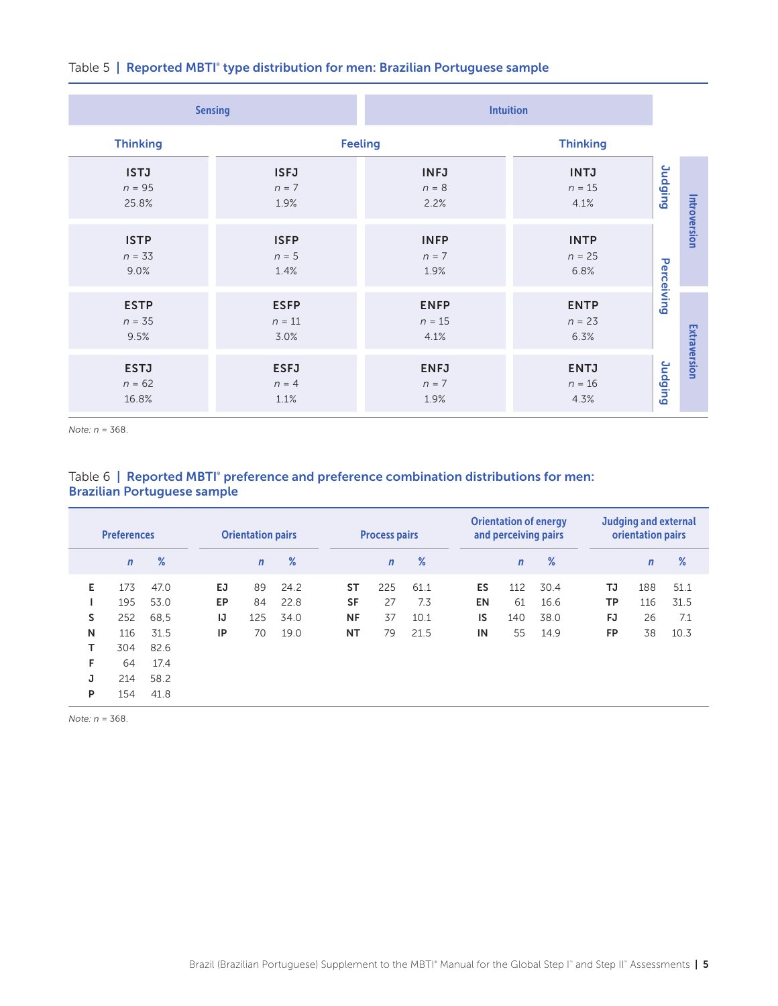|                                  | <b>Sensing</b>                  | <b>Intuition</b>                |                                 |                |              |  |
|----------------------------------|---------------------------------|---------------------------------|---------------------------------|----------------|--------------|--|
| <b>Thinking</b>                  | <b>Feeling</b>                  | <b>Thinking</b>                 |                                 |                |              |  |
| <b>ISTJ</b><br>$n = 95$<br>25.8% | <b>ISFJ</b><br>$n = 7$<br>1.9%  | <b>INFJ</b><br>$n = 8$<br>2.2%  | <b>INTJ</b><br>$n = 15$<br>4.1% | <b>Judging</b> | Introversion |  |
| <b>ISTP</b><br>$n = 33$<br>9.0%  | <b>ISFP</b><br>$n = 5$<br>1.4%  | <b>INFP</b><br>$n = 7$<br>1.9%  | <b>INTP</b><br>$n = 25$<br>6.8% | Perceiving     |              |  |
| <b>ESTP</b><br>$n = 35$<br>9.5%  | <b>ESFP</b><br>$n = 11$<br>3.0% | <b>ENFP</b><br>$n = 15$<br>4.1% | <b>ENTP</b><br>$n = 23$<br>6.3% |                |              |  |
| <b>ESTJ</b><br>$n = 62$<br>16.8% | <b>ESFJ</b><br>$n = 4$<br>1.1%  | <b>ENFJ</b><br>$n = 7$<br>1.9%  | <b>ENTJ</b><br>$n = 16$<br>4.3% | <b>Judging</b> | Extraversion |  |

#### Table 5 | Reported MBTI° type distribution for men: Brazilian Portuguese sample

*Note: n* = 368.

# Table 6 | Reported MBTI° preference and preference combination distributions for men: Brazilian Portuguese sample

| <b>Preferences</b> |              |      | <b>Orientation pairs</b> |              |      | <b>Process pairs</b> |             |      | <b>Orientation of energy</b><br>and perceiving pairs |           |              | Judging and external<br>orientation pairs |           |              |      |  |
|--------------------|--------------|------|--------------------------|--------------|------|----------------------|-------------|------|------------------------------------------------------|-----------|--------------|-------------------------------------------|-----------|--------------|------|--|
|                    | $\mathsf{n}$ | %    |                          | $\mathsf{n}$ | $\%$ |                      | $\mathbf n$ | $\%$ |                                                      |           | $\mathsf{n}$ | %                                         |           | $\mathsf{n}$ | $\%$ |  |
| E.                 | 173          | 47.0 | EJ                       | 89           | 24.2 | ST                   | 225         | 61.1 |                                                      | <b>ES</b> | 112          | 30.4                                      | TJ        | 188          | 51.1 |  |
|                    | 195          | 53.0 | EP.                      | 84           | 22.8 | <b>SF</b>            | 27          | 7.3  |                                                      | <b>EN</b> | 61           | 16.6                                      | TP        | 116          | 31.5 |  |
| S                  | 252          | 68.5 | IJ                       | 125          | 34.0 | <b>NF</b>            | 37          | 10.1 |                                                      | IS        | 140          | 38.0                                      | FJ        | 26           | 7.1  |  |
| N                  | 116          | 31.5 | IP                       | 70           | 19.0 | NT                   | 79          | 21.5 |                                                      | IN        | 55           | 14.9                                      | <b>FP</b> | 38           | 10.3 |  |
| т                  | 304          | 82.6 |                          |              |      |                      |             |      |                                                      |           |              |                                           |           |              |      |  |
| F                  | 64           | 17.4 |                          |              |      |                      |             |      |                                                      |           |              |                                           |           |              |      |  |
| J                  | 214          | 58.2 |                          |              |      |                      |             |      |                                                      |           |              |                                           |           |              |      |  |
| P                  | 154          | 41.8 |                          |              |      |                      |             |      |                                                      |           |              |                                           |           |              |      |  |

*Note: n* = 368.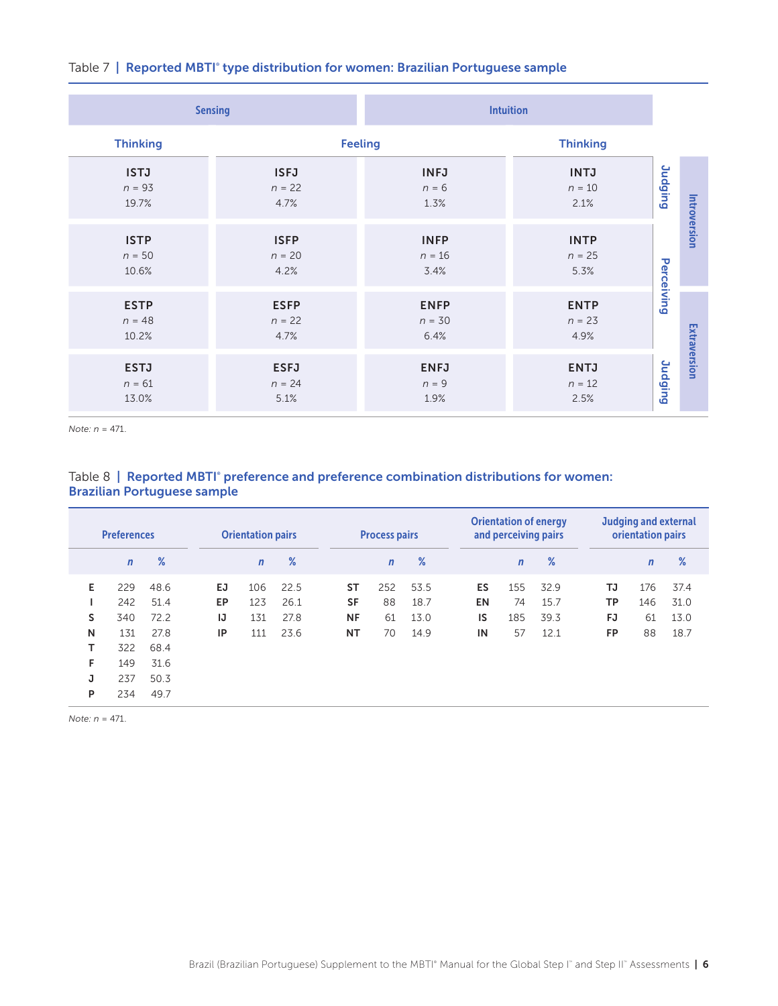|                                  | <b>Sensing</b>                  | <b>Intuition</b>                |                                 |                |              |  |
|----------------------------------|---------------------------------|---------------------------------|---------------------------------|----------------|--------------|--|
| <b>Thinking</b>                  | <b>Feeling</b>                  | <b>Thinking</b>                 |                                 |                |              |  |
| <b>ISTJ</b><br>$n = 93$<br>19.7% | <b>ISFJ</b><br>$n = 22$<br>4.7% | <b>INFJ</b><br>$n = 6$<br>1.3%  | <b>INTJ</b><br>$n=10$<br>2.1%   | <b>Judging</b> |              |  |
| <b>ISTP</b><br>$n = 50$<br>10.6% | <b>ISFP</b><br>$n = 20$<br>4.2% | <b>INFP</b><br>$n = 16$<br>3.4% | <b>INTP</b><br>$n = 25$<br>5.3% | Perceiving     | Introversion |  |
| <b>ESTP</b><br>$n = 48$<br>10.2% | <b>ESFP</b><br>$n = 22$<br>4.7% | <b>ENFP</b><br>$n = 30$<br>6.4% | <b>ENTP</b><br>$n = 23$<br>4.9% |                |              |  |
| <b>ESTJ</b><br>$n = 61$<br>13.0% | <b>ESFJ</b><br>$n = 24$<br>5.1% | <b>ENFJ</b><br>$n = 9$<br>1.9%  | <b>ENTJ</b><br>$n = 12$<br>2.5% | Judging        | Extraversion |  |

#### Table 7 **| Reported MBTI° type distribution for women: Brazilian Portuguese sample**

*Note: n* = 471.

# Table 8 | Reported MBTI° preference and preference combination distributions for women: Brazilian Portuguese sample

| <b>Preferences</b> |                                 |                                      | <b>Orientation pairs</b> |                          |                              | <b>Process pairs</b>                             |                       |                              | <b>Orientation of energy</b><br>and perceiving pairs |                        |                              | <b>Judging and external</b><br>orientation pairs |                        |                              |  |
|--------------------|---------------------------------|--------------------------------------|--------------------------|--------------------------|------------------------------|--------------------------------------------------|-----------------------|------------------------------|------------------------------------------------------|------------------------|------------------------------|--------------------------------------------------|------------------------|------------------------------|--|
|                    | $\mathbf n$                     | %                                    |                          | $\mathbf n$              | $\%$                         |                                                  | $\mathbf n$           | $\%$                         |                                                      | $\mathbf n$            | %                            |                                                  | $\mathsf{n}$           | $\%$                         |  |
| Е<br>s<br>N<br>т   | 229<br>242<br>340<br>131<br>322 | 48.6<br>51.4<br>72.2<br>27.8<br>68.4 | EJ.<br>EP<br>IJ<br>ΙP    | 106<br>123<br>131<br>111 | 22.5<br>26.1<br>27.8<br>23.6 | <b>ST</b><br><b>SF</b><br><b>NF</b><br><b>NT</b> | 252<br>88<br>61<br>70 | 53.5<br>18.7<br>13.0<br>14.9 | ES<br><b>EN</b><br>IS<br>IN                          | 155<br>74<br>185<br>57 | 32.9<br>15.7<br>39.3<br>12.1 | TJ<br>TP<br>FJ<br><b>FP</b>                      | 176<br>146<br>61<br>88 | 37.4<br>31.0<br>13.0<br>18.7 |  |
| F<br>J<br>P        | 149<br>237<br>234               | 31.6<br>50.3<br>49.7                 |                          |                          |                              |                                                  |                       |                              |                                                      |                        |                              |                                                  |                        |                              |  |

*Note: n* = 471.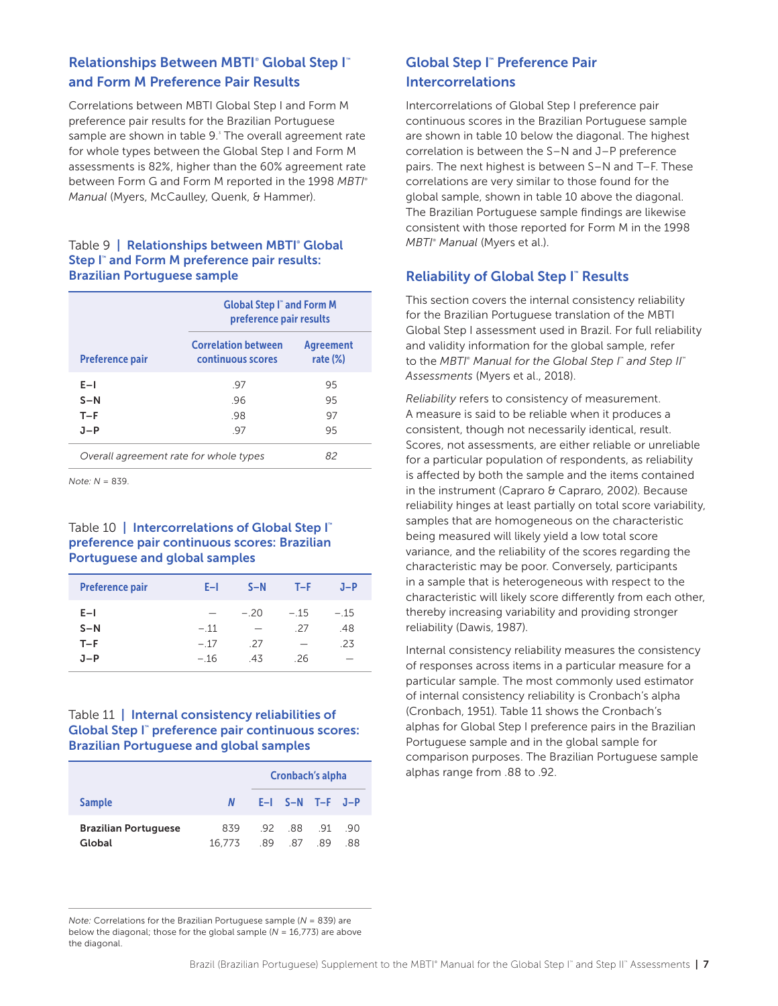# Relationships Between MBTI<sup>®</sup> Global Step I<sup>™</sup> and Form M Preference Pair Results

Correlations between MBTI Global Step I and Form M preference pair results for the Brazilian Portuguese sample are shown in table 9.<sup>3</sup> The overall agreement rate for whole types between the Global Step I and Form M assessments is 82%, higher than the 60% agreement rate between Form G and Form M reported in the 1998 *MBTI*® *Manual* (Myers, McCaulley, Quenk, & Hammer).

#### Table 9 | Relationships between MBTI<sup>®</sup> Global Step I™ and Form M preference pair results: Brazilian Portuguese sample

|                                        | <b>Global Step I</b> and Form M<br>preference pair results |                                 |
|----------------------------------------|------------------------------------------------------------|---------------------------------|
| <b>Preference pair</b>                 | <b>Correlation between</b><br>continuous scores            | <b>Agreement</b><br>rate $(\%)$ |
| $E-I$<br>$S-N$                         | .97<br>.96                                                 | 95<br>95                        |
| $T-F$<br>$J-P$                         | .98<br>.97                                                 | 97<br>95                        |
| Overall agreement rate for whole types | 82                                                         |                                 |

*Note: N* = 839.

# Table 10 | Intercorrelations of Global Step I™ preference pair continuous scores: Brazilian Portuguese and global samples

| <b>Preference pair</b>           | E-L                      | $S-N$                    | $T-F$                    | $J-P$                     |
|----------------------------------|--------------------------|--------------------------|--------------------------|---------------------------|
| $E-I$<br>$S-N$<br>$T-F$<br>$J-P$ | $-.11$<br>$-17$<br>$-16$ | $-20$<br>-<br>-27<br>-43 | $-15$<br>-27<br>-<br>-26 | $-.15$<br>.48<br>.23<br>- |

# Table 11 | Internal consistency reliabilities of Global Step I™ preference pair continuous scores: Brazilian Portuguese and global samples

|                                       |               | Cronbach's alpha |                             |  |     |  |
|---------------------------------------|---------------|------------------|-----------------------------|--|-----|--|
| <b>Sample</b>                         | N             |                  | $E-I$ S-N T-F J-P           |  |     |  |
| <b>Brazilian Portuguese</b><br>Global | 839<br>16.773 |                  | .92 .88 .91 .90<br>89 87 89 |  | .88 |  |

#### *Note:* Correlations for the Brazilian Portuguese sample (*N* = 839) are below the diagonal; those for the global sample (*N* = 16,773) are above the diagonal.

# Global Step I™ Preference Pair Intercorrelations

Intercorrelations of Global Step I preference pair continuous scores in the Brazilian Portuguese sample are shown in table 10 below the diagonal. The highest correlation is between the S–N and J–P preference pairs. The next highest is between S–N and T–F. These correlations are very similar to those found for the global sample, shown in table 10 above the diagonal. The Brazilian Portuguese sample findings are likewise consistent with those reported for Form M in the 1998 *MBTI*®  *Manual* (Myers et al.).

# **Reliability of Global Step I™ Results**

This section covers the internal consistency reliability for the Brazilian Portuguese translation of the MBTI Global Step I assessment used in Brazil. For full reliability and validity information for the global sample, refer to the *MBTI*®  *Manual for the Global Step I*™  *and Step II*™ *Assessments* (Myers et al., 2018).

*Reliability* refers to consistency of measurement. A measure is said to be reliable when it produces a consistent, though not necessarily identical, result. Scores, not assessments, are either reliable or unreliable for a particular population of respondents, as reliability is affected by both the sample and the items contained in the instrument (Capraro & Capraro, 2002). Because reliability hinges at least partially on total score variability, samples that are homogeneous on the characteristic being measured will likely yield a low total score variance, and the reliability of the scores regarding the characteristic may be poor. Conversely, participants in a sample that is heterogeneous with respect to the characteristic will likely score differently from each other, thereby increasing variability and providing stronger reliability (Dawis, 1987).

Internal consistency reliability measures the consistency of responses across items in a particular measure for a particular sample. The most commonly used estimator of internal consistency reliability is Cronbach's alpha (Cronbach, 1951). Table 11 shows the Cronbach's alphas for Global Step I preference pairs in the Brazilian Portuguese sample and in the global sample for comparison purposes. The Brazilian Portuguese sample alphas range from .88 to .92.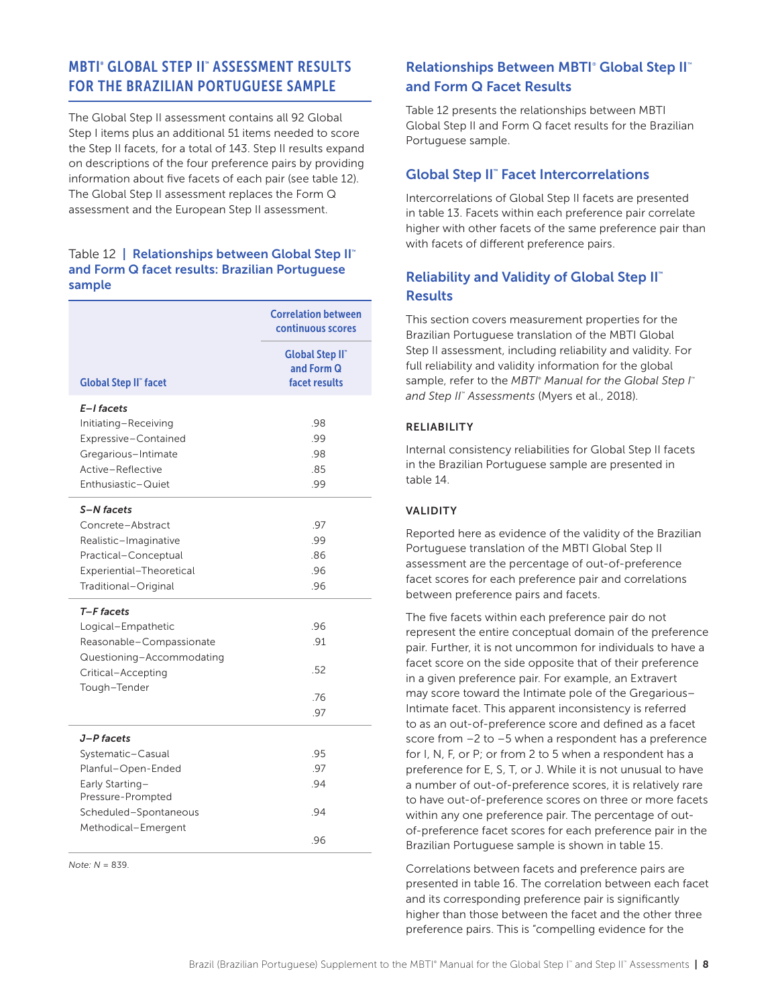# MBTI® GLOBAL STEP II™ ASSESSMENT RESULTS FOR THE BRAZILIAN PORTUGUESE SAMPLE

The Global Step II assessment contains all 92 Global Step I items plus an additional 51 items needed to score the Step II facets, for a total of 143. Step II results expand on descriptions of the four preference pairs by providing information about five facets of each pair (see table 12). The Global Step II assessment replaces the Form Q assessment and the European Step II assessment.

#### Table 12 | Relationships between Global Step II™ and Form Q facet results: Brazilian Portuguese sample

|                                                                                                                                               | <b>Correlation between</b><br>continuous scores      |
|-----------------------------------------------------------------------------------------------------------------------------------------------|------------------------------------------------------|
| <b>Global Step II" facet</b>                                                                                                                  | <b>Global Step II</b><br>and Form Q<br>facet results |
| E-I facets<br>Initiating-Receiving<br>Expressive-Contained<br>Gregarious-Intimate<br>Active-Reflective<br>Enthusiastic-Quiet                  | .98<br>.99<br>.98<br>.85<br>.99                      |
| S-N facets<br>Concrete-Abstract<br>Realistic-Imaginative<br>Practical-Conceptual<br>Experiential-Theoretical<br>Traditional-Original          | .97<br>.99<br>.86<br>.96<br>.96                      |
| T-F facets<br>Logical-Empathetic<br>Reasonable-Compassionate<br>Questioning-Accommodating<br>Critical-Accepting<br>Tough-Tender               | .96<br>.91<br>.52<br>.76<br>.97                      |
| J-P facets<br>Systematic-Casual<br>Planful-Open-Ended<br>Early Starting-<br>Pressure-Prompted<br>Scheduled-Spontaneous<br>Methodical-Emergent | .95<br>.97<br>.94<br>.94<br>.96                      |

*Note: N* = 839.

# **Relationships Between MBTI® Global Step II™** and Form Q Facet Results

Table 12 presents the relationships between MBTI Global Step II and Form Q facet results for the Brazilian Portuguese sample.

# Global Step II<sup>™</sup> Facet Intercorrelations

Intercorrelations of Global Step II facets are presented in table 13. Facets within each preference pair correlate higher with other facets of the same preference pair than with facets of different preference pairs.

# Reliability and Validity of Global Step II™ **Results**

This section covers measurement properties for the Brazilian Portuguese translation of the MBTI Global Step II assessment, including reliability and validity. For full reliability and validity information for the global sample, refer to the *MBTI<sup>®</sup> Manual for the Global Step I*<sup>®</sup> *and Step II™ Assessments* (Myers et al., 2018).

#### RELIABILITY

Internal consistency reliabilities for Global Step II facets in the Brazilian Portuguese sample are presented in table 14.

#### VALIDITY

Reported here as evidence of the validity of the Brazilian Portuguese translation of the MBTI Global Step II assessment are the percentage of out-of-preference facet scores for each preference pair and correlations between preference pairs and facets.

The five facets within each preference pair do not represent the entire conceptual domain of the preference pair. Further, it is not uncommon for individuals to have a facet score on the side opposite that of their preference in a given preference pair. For example, an Extravert may score toward the Intimate pole of the Gregarious– Intimate facet. This apparent inconsistency is referred to as an out-of-preference score and defined as a facet score from –2 to –5 when a respondent has a preference for I, N, F, or P; or from 2 to 5 when a respondent has a preference for E, S, T, or J. While it is not unusual to have a number of out-of-preference scores, it is relatively rare to have out-of-preference scores on three or more facets within any one preference pair. The percentage of outof-preference facet scores for each preference pair in the Brazilian Portuguese sample is shown in table 15.

Correlations between facets and preference pairs are presented in table 16. The correlation between each facet and its corresponding preference pair is significantly higher than those between the facet and the other three preference pairs. This is "compelling evidence for the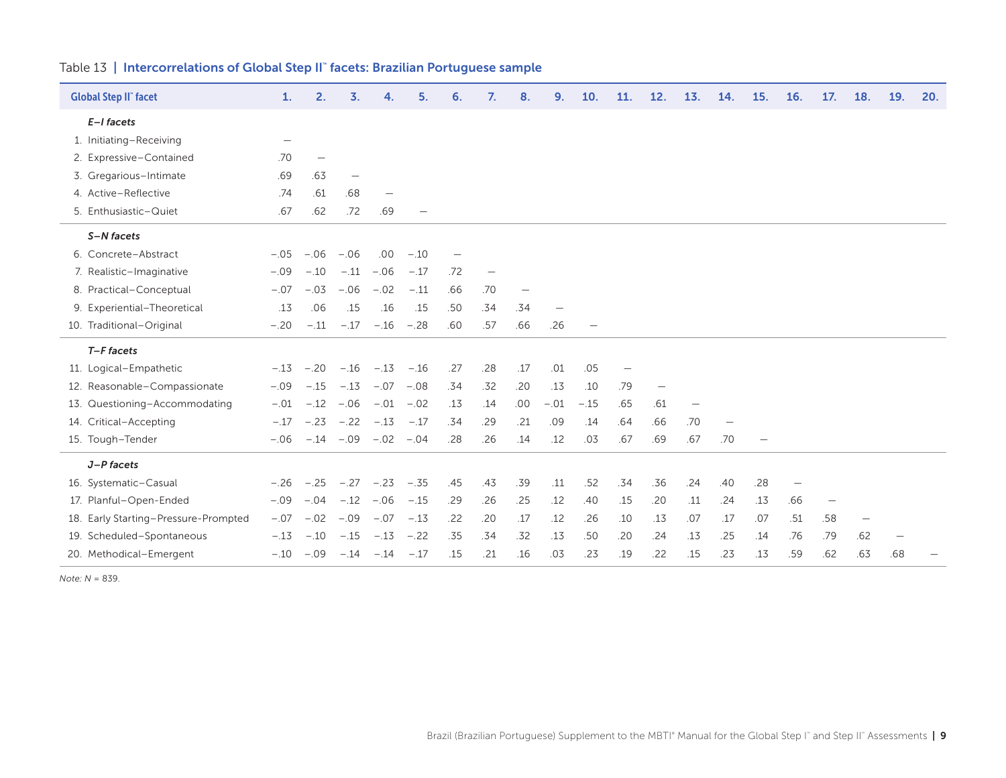| <b>Global Step II</b> " facet |                                      | 1.                       | 2.                | 3.                          | 4.                 | 5.     | 6.                       | 7.  | 8.  | 9.     | 10.    | 11. | 12.               | 13. | 14.                      | 15. | 16.               | 17.                      | 18. | 19. | 20. |
|-------------------------------|--------------------------------------|--------------------------|-------------------|-----------------------------|--------------------|--------|--------------------------|-----|-----|--------|--------|-----|-------------------|-----|--------------------------|-----|-------------------|--------------------------|-----|-----|-----|
| $E-I$ facets                  |                                      |                          |                   |                             |                    |        |                          |     |     |        |        |     |                   |     |                          |     |                   |                          |     |     |     |
|                               | 1. Initiating-Receiving              | $\overline{\phantom{0}}$ |                   |                             |                    |        |                          |     |     |        |        |     |                   |     |                          |     |                   |                          |     |     |     |
|                               | 2. Expressive-Contained              | .70                      | $\qquad \qquad -$ |                             |                    |        |                          |     |     |        |        |     |                   |     |                          |     |                   |                          |     |     |     |
|                               | 3. Gregarious-Intimate               | .69                      | .63               | $\overline{\phantom{m}}$    |                    |        |                          |     |     |        |        |     |                   |     |                          |     |                   |                          |     |     |     |
|                               | 4. Active-Reflective                 | .74                      | .61               | .68                         |                    |        |                          |     |     |        |        |     |                   |     |                          |     |                   |                          |     |     |     |
|                               | 5. Enthusiastic-Quiet                | .67                      | .62               | .72                         | .69                |        |                          |     |     |        |        |     |                   |     |                          |     |                   |                          |     |     |     |
| S-N facets                    |                                      |                          |                   |                             |                    |        |                          |     |     |        |        |     |                   |     |                          |     |                   |                          |     |     |     |
|                               | 6. Concrete-Abstract                 | $-.05$                   | $-.06$            | $-.06$                      | .00.               | $-.10$ | $\overline{\phantom{m}}$ |     |     |        |        |     |                   |     |                          |     |                   |                          |     |     |     |
|                               | 7. Realistic-Imaginative             | $-.09$                   | $-.10$            | $-.11$                      | $-.06$             | $-.17$ | .72                      |     |     |        |        |     |                   |     |                          |     |                   |                          |     |     |     |
|                               | 8. Practical-Conceptual              | $-.07$                   | $-.03$            | $-.06$                      | $-.02$             | $-.11$ | .66                      | .70 |     |        |        |     |                   |     |                          |     |                   |                          |     |     |     |
|                               | 9. Experiential-Theoretical          | .13                      | .06               | .15                         | .16                | .15    | .50                      | .34 | .34 |        |        |     |                   |     |                          |     |                   |                          |     |     |     |
|                               | 10. Traditional-Original             | $-.20$                   | $-.11$            | $-.17$                      | $-.16$             | $-.28$ | .60                      | .57 | .66 | .26    |        |     |                   |     |                          |     |                   |                          |     |     |     |
| T-F facets                    |                                      |                          |                   |                             |                    |        |                          |     |     |        |        |     |                   |     |                          |     |                   |                          |     |     |     |
|                               | 11. Logical-Empathetic               | $-.13$                   | $-.20$            | $-.16$                      | $-.13 - .16$       |        | .27                      | .28 | .17 | .01    | .05    |     |                   |     |                          |     |                   |                          |     |     |     |
|                               | 12. Reasonable-Compassionate         | $-.09$                   | $-.15$            | $-.13$                      | $-.07 - .08$       |        | .34                      | .32 | .20 | .13    | .10    | .79 | $\qquad \qquad -$ |     |                          |     |                   |                          |     |     |     |
|                               | 13. Questioning-Accommodating        | $-.01$                   | $-.12$            | $-.06$                      | $-.01$             | $-.02$ | .13                      | .14 | .00 | $-.01$ | $-.15$ | .65 | .61               |     |                          |     |                   |                          |     |     |     |
|                               | 14. Critical-Accepting               | $-.17$                   |                   | $-.23 - .22 - .13 - .17$    |                    |        | .34                      | .29 | .21 | .09    | .14    | .64 | .66               | .70 | $\overline{\phantom{m}}$ |     |                   |                          |     |     |     |
| 15. Tough-Tender              |                                      | $-.06$                   |                   | $-.14 - .09$                | $-.02 - .04$       |        | .28                      | .26 | .14 | .12    | .03    | .67 | .69               | .67 | .70                      |     |                   |                          |     |     |     |
| J-P facets                    |                                      |                          |                   |                             |                    |        |                          |     |     |        |        |     |                   |     |                          |     |                   |                          |     |     |     |
|                               | 16. Systematic-Casual                | $-.26$                   |                   | $-.25$ $-.27$ $-.23$ $-.35$ |                    |        | .45                      | .43 | .39 | .11    | .52    | .34 | .36               | .24 | .40                      | .28 | $\qquad \qquad -$ |                          |     |     |     |
|                               | 17. Planful-Open-Ended               | $-.09$                   | $-.04 - .12$      |                             | $-.06$             | $-.15$ | .29                      | .26 | .25 | .12    | .40    | .15 | .20               | .11 | .24                      | .13 | .66               | $\overline{\phantom{m}}$ |     |     |     |
|                               | 18. Early Starting-Pressure-Prompted | $-.07$                   | $-.02$            | $-.09$                      | $-.07$             | $-.13$ | .22                      | .20 | .17 | .12    | .26    | .10 | .13               | .07 | .17                      | .07 | .51               | .58                      |     |     |     |
|                               | 19. Scheduled-Spontaneous            | $-.13$                   | $-.10$            | $-.15$                      | $-.13$             | $-.22$ | .35                      | .34 | .32 | .13    | .50    | .20 | .24               | .13 | .25                      | .14 | .76               | .79                      | .62 |     |     |
|                               | 20. Methodical-Emergent              | $-.10$                   | $-.09$            |                             | $-.14 - .14 - .17$ |        | .15                      | .21 | .16 | .03    | .23    | .19 | .22               | .15 | .23                      | .13 | .59               | .62                      | .63 | .68 |     |

#### Table 13 | Intercorrelations of Global Step II™ facets: Brazilian Portuguese sample

*Note: N* = 839.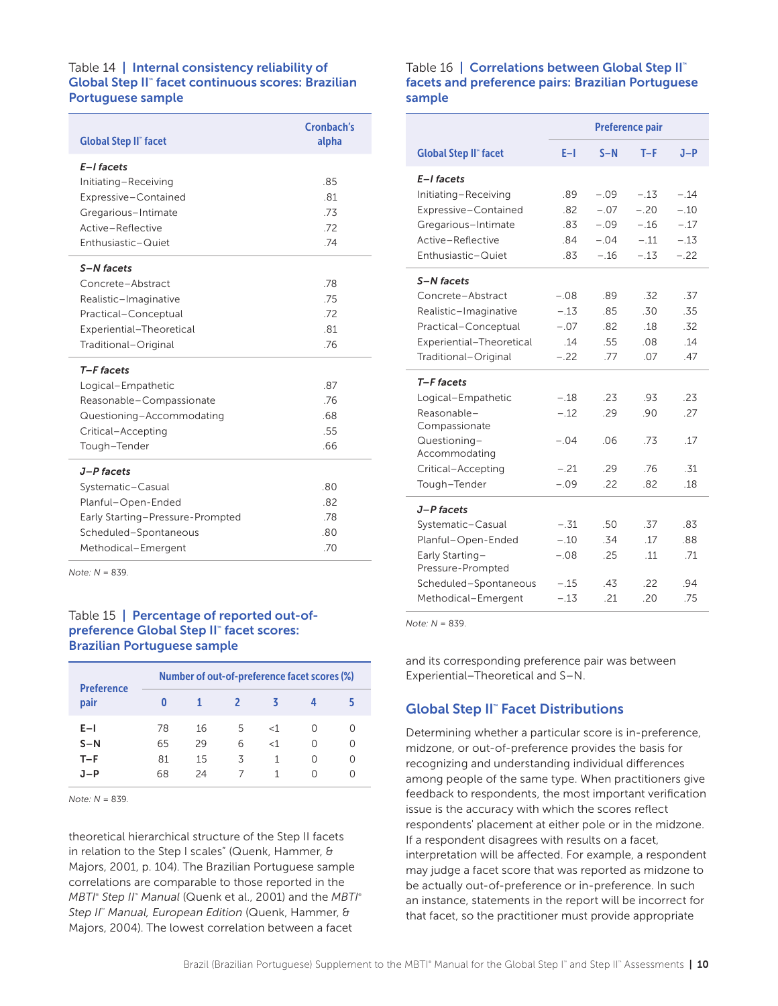#### Table 14 | Internal consistency reliability of Global Step II™ facet continuous scores: Brazilian Portuguese sample

| <b>Global Step II" facet</b>                                                                                                              | Cronbach's<br>alpha             |
|-------------------------------------------------------------------------------------------------------------------------------------------|---------------------------------|
| E-I facets<br>Initiating-Receiving<br>Expressive-Contained<br>Gregarious-Intimate<br>Active-Reflective<br>Enthusiastic-Quiet              | .85<br>.81<br>.73<br>.72<br>.74 |
| S-N facets<br>Concrete-Abstract<br>Realistic-Imaginative<br>Practical-Conceptual<br>Experiential-Theoretical<br>Traditional-Original      | .78<br>.75<br>72<br>.81<br>.76  |
| T-F facets<br>Logical-Empathetic<br>Reasonable-Compassionate<br>Questioning-Accommodating<br>Critical-Accepting<br>Tough-Tender           | .87<br>.76<br>.68<br>.55<br>.66 |
| J-P facets<br>Systematic-Casual<br>Planful-Open-Ended<br>Early Starting-Pressure-Prompted<br>Scheduled-Spontaneous<br>Methodical-Emergent | .80<br>.82<br>.78<br>.80<br>.70 |

*Note: N* = 839.

# Table 15 | Percentage of reported out-ofpreference Global Step II™ facet scores: Brazilian Portuguese sample

| <b>Preference</b> | Number of out-of-preference facet scores (%) |    |              |       |   |                  |  |  |  |  |  |  |
|-------------------|----------------------------------------------|----|--------------|-------|---|------------------|--|--|--|--|--|--|
| pair              | 0                                            |    | <sup>2</sup> | К     |   |                  |  |  |  |  |  |  |
| $E-1$             | 78                                           | 16 | 5.           | $<$ 1 |   | $\left( \right)$ |  |  |  |  |  |  |
| $S-N$             | 65                                           | 29 | 6            | $<$ 1 |   | $\bigcap$        |  |  |  |  |  |  |
| $T-F$             | 81                                           | 15 | 3            | 1     | Ω | ∩                |  |  |  |  |  |  |
| .1-P              | 68                                           | 24 |              |       |   | Ω                |  |  |  |  |  |  |

*Note: N* = 839.

theoretical hierarchical structure of the Step II facets in relation to the Step I scales" (Quenk, Hammer, & Majors, 2001, p. 104). The Brazilian Portuguese sample correlations are comparable to those reported in the *MBTI*®  *Step II*™  *Manual* (Quenk et al., 2001) and the *MBTI*® *Step II*™  *Manual, European Edition* (Quenk, Hammer, & Majors, 2004). The lowest correlation between a facet

#### Table 16 | Correlations between Global Step II<sup>™</sup> facets and preference pairs: Brazilian Portuguese sample

|                              | <b>Preference pair</b> |        |        |        |  |  |  |  |  |
|------------------------------|------------------------|--------|--------|--------|--|--|--|--|--|
| <b>Global Step II" facet</b> | E-I                    | $S-N$  | $T-F$  | $J-P$  |  |  |  |  |  |
| E-I facets                   |                        |        |        |        |  |  |  |  |  |
| Initiating-Receiving         | .89                    | $-.09$ | $-.13$ | $-.14$ |  |  |  |  |  |
| Expressive-Contained         | .82                    | $-.07$ | $-.20$ | $-.10$ |  |  |  |  |  |
| Gregarious-Intimate          | .83                    | $-.09$ | $-.16$ | $-.17$ |  |  |  |  |  |
| Active-Reflective            | .84                    | $-.04$ | $-.11$ | $-.13$ |  |  |  |  |  |
| Enthusiastic-Quiet           | .83                    | $-.16$ | $-.13$ | $-.22$ |  |  |  |  |  |
| S-N facets                   |                        |        |        |        |  |  |  |  |  |
| Concrete-Abstract            | $-.08$                 | .89    | .32    | .37    |  |  |  |  |  |
| Realistic-Imaginative        | $-.13$                 | .85    | .30    | .35    |  |  |  |  |  |
| Practical-Conceptual         | $-.07$                 | .82    | .18    | .32    |  |  |  |  |  |
| Experiential-Theoretical     | .14                    | .55    | 08     | .14    |  |  |  |  |  |
| Traditional-Original         | $-.22$                 | .77    | .07    | .47    |  |  |  |  |  |
| T-F facets                   |                        |        |        |        |  |  |  |  |  |
| Logical-Empathetic           | $-.18$                 | .23    | .93    | .23    |  |  |  |  |  |
| Reasonable-<br>Compassionate | $-.12$                 | .29    | .90    | .27    |  |  |  |  |  |
| Questioning-                 | $-.04$                 | 06     | .73    | .17    |  |  |  |  |  |
| Accommodating                |                        |        |        |        |  |  |  |  |  |
| Critical-Accepting           | $-.21$                 | 29     | .76    | -31    |  |  |  |  |  |
| Tough-Tender                 | $-.09$                 | .22    | .82    | .18    |  |  |  |  |  |
| J-P facets                   |                        |        |        |        |  |  |  |  |  |
| Systematic-Casual            | $-.31$                 | .50    | .37    | .83    |  |  |  |  |  |
| Planful-Open-Ended           | $-.10$                 | .34    | .17    | .88    |  |  |  |  |  |
| Early Starting-              | $-.08$                 | .25    | 11     | .71    |  |  |  |  |  |
| Pressure-Prompted            |                        |        |        |        |  |  |  |  |  |
| Scheduled-Spontaneous        | $-.15$                 | .43    | .22    | .94    |  |  |  |  |  |
| Methodical-Emergent          | $-.13$                 | .21    | .20    | .75    |  |  |  |  |  |

*Note: N* = 839.

and its corresponding preference pair was between Experiential–Theoretical and S–N.

# Global Step II™ Facet Distributions

Determining whether a particular score is in-preference, midzone, or out-of-preference provides the basis for recognizing and understanding individual differences among people of the same type. When practitioners give feedback to respondents, the most important verification issue is the accuracy with which the scores reflect respondents' placement at either pole or in the midzone. If a respondent disagrees with results on a facet, interpretation will be affected. For example, a respondent may judge a facet score that was reported as midzone to be actually out-of-preference or in-preference. In such an instance, statements in the report will be incorrect for that facet, so the practitioner must provide appropriate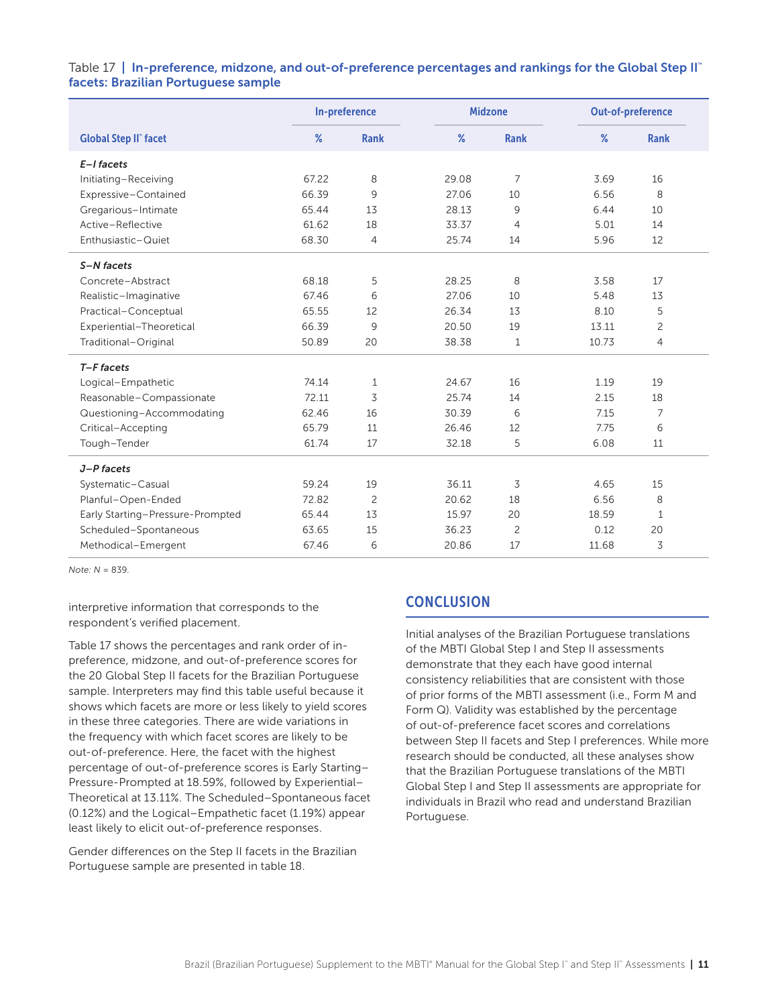Table 17 | In-preference, midzone, and out-of-preference percentages and rankings for the Global Step II<sup>™</sup> facets: Brazilian Portuguese sample

|                                  | In-preference |                |       | <b>Midzone</b> | Out-of-preference |                |  |
|----------------------------------|---------------|----------------|-------|----------------|-------------------|----------------|--|
| <b>Global Step II" facet</b>     | %             | <b>Rank</b>    | %     | <b>Rank</b>    | $\%$              | <b>Rank</b>    |  |
| $E-I$ facets                     |               |                |       |                |                   |                |  |
| Initiating-Receiving             | 67.22         | 8              | 29.08 | 7              | 3.69              | 16             |  |
| Expressive-Contained             | 66.39         | 9              | 27.06 | 10             | 6.56              | 8              |  |
| Gregarious-Intimate              | 65.44         | 13             | 28.13 | 9              | 6.44              | 10             |  |
| Active-Reflective                | 61.62         | 18             | 33.37 | $\overline{4}$ | 5.01              | 14             |  |
| Enthusiastic-Quiet               | 68.30         | $\overline{4}$ | 25.74 | 14             | 5.96              | 12             |  |
| S-N facets                       |               |                |       |                |                   |                |  |
| Concrete-Abstract                | 68.18         | 5              | 28.25 | 8              | 3.58              | 17             |  |
| Realistic-Imaginative            | 67.46         | 6              | 27.06 | 10             | 5.48              | 13             |  |
| Practical-Conceptual             | 65.55         | 12             | 26.34 | 13             | 8.10              | 5              |  |
| Experiential-Theoretical         | 66.39         | 9              | 20.50 | 19             | 13.11             | $\overline{c}$ |  |
| Traditional-Original             | 50.89         | 20             | 38.38 | 1              | 10.73             | 4              |  |
| T-F facets                       |               |                |       |                |                   |                |  |
| Logical-Empathetic               | 74.14         | 1              | 24.67 | 16             | 1.19              | 19             |  |
| Reasonable-Compassionate         | 72.11         | 3              | 25.74 | 14             | 2.15              | 18             |  |
| Questioning-Accommodating        | 62.46         | 16             | 30.39 | 6              | 7.15              | 7              |  |
| Critical-Accepting               | 65.79         | 11             | 26.46 | 12             | 7.75              | 6              |  |
| Tough-Tender                     | 61.74         | 17             | 32.18 | 5              | 6.08              | 11             |  |
| J-P facets                       |               |                |       |                |                   |                |  |
| Systematic-Casual                | 59.24         | 19             | 36.11 | 3              | 4.65              | 15             |  |
| Planful-Open-Ended               | 72.82         | $\overline{c}$ | 20.62 | 18             | 6.56              | 8              |  |
| Early Starting-Pressure-Prompted | 65.44         | 13             | 15.97 | 20             | 18.59             | $\mathbf{1}$   |  |
| Scheduled-Spontaneous            | 63.65         | 15             | 36.23 | 2              | 0.12              | 20             |  |
| Methodical-Emergent              | 67.46         | 6              | 20.86 | 17             | 11.68             | 3              |  |

*Note: N* = 839.

interpretive information that corresponds to the respondent's verified placement.

Table 17 shows the percentages and rank order of inpreference, midzone, and out-of-preference scores for the 20 Global Step II facets for the Brazilian Portuguese sample. Interpreters may find this table useful because it shows which facets are more or less likely to yield scores in these three categories. There are wide variations in the frequency with which facet scores are likely to be out-of-preference. Here, the facet with the highest percentage of out-of-preference scores is Early Starting– Pressure-Prompted at 18.59%, followed by Experiential– Theoretical at 13.11%. The Scheduled–Spontaneous facet (0.12%) and the Logical–Empathetic facet (1.19%) appear least likely to elicit out-of-preference responses.

Gender differences on the Step II facets in the Brazilian Portuguese sample are presented in table 18.

# **CONCLUSION**

Initial analyses of the Brazilian Portuguese translations of the MBTI Global Step I and Step II assessments demonstrate that they each have good internal consistency reliabilities that are consistent with those of prior forms of the MBTI assessment (i.e., Form M and Form Q). Validity was established by the percentage of out-of-preference facet scores and correlations between Step II facets and Step I preferences. While more research should be conducted, all these analyses show that the Brazilian Portuguese translations of the MBTI Global Step I and Step II assessments are appropriate for individuals in Brazil who read and understand Brazilian Portuguese.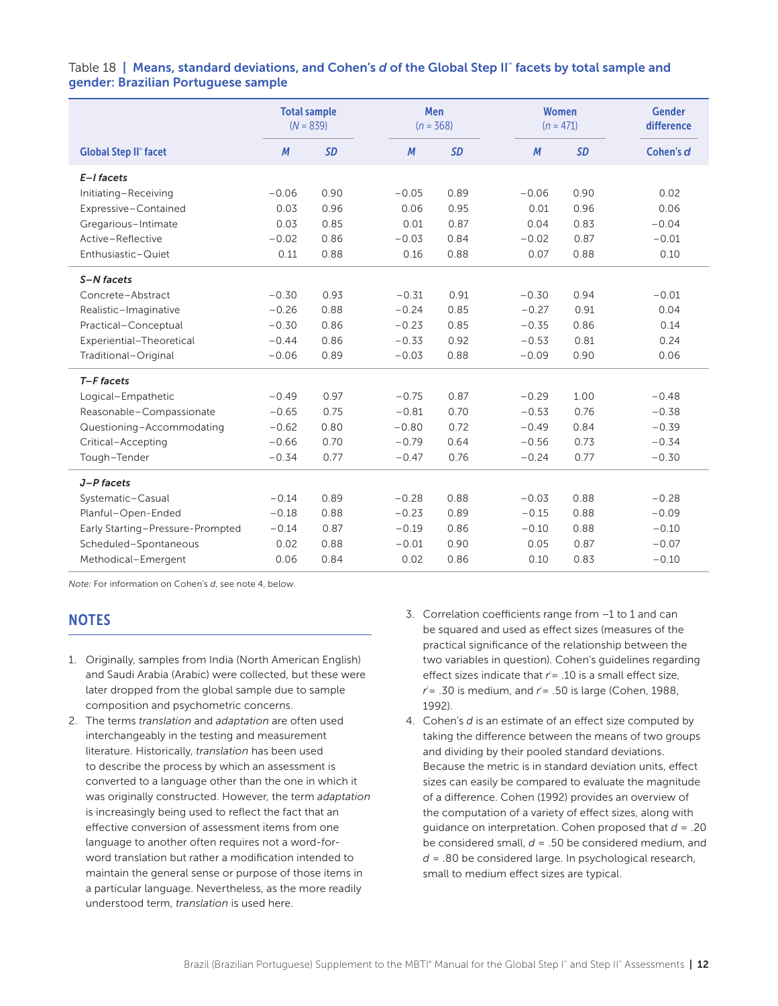#### Table 18 | Means, standard deviations, and Cohen's *d* of the Global Step II™ facets by total sample and gender: Brazilian Portuguese sample

|                                  | <b>Total sample</b><br>$(N = 839)$ |           | Men<br>$(n = 368)$ |         |           |  |         | <b>Women</b><br>$(n = 471)$ | <b>Gender</b><br>difference |
|----------------------------------|------------------------------------|-----------|--------------------|---------|-----------|--|---------|-----------------------------|-----------------------------|
| <b>Global Step II" facet</b>     | M                                  | <b>SD</b> |                    | M       | <b>SD</b> |  | M       | <b>SD</b>                   | Cohen's d                   |
| E-I facets                       |                                    |           |                    |         |           |  |         |                             |                             |
| Initiating-Receiving             | $-0.06$                            | 0.90      |                    | $-0.05$ | 0.89      |  | $-0.06$ | 0.90                        | 0.02                        |
| Expressive-Contained             | 0.03                               | 0.96      |                    | 0.06    | 0.95      |  | 0.01    | 0.96                        | 0.06                        |
| Gregarious-Intimate              | 0.03                               | 0.85      |                    | 0.01    | 0.87      |  | 0.04    | 0.83                        | $-0.04$                     |
| Active-Reflective                | $-0.02$                            | 0.86      |                    | $-0.03$ | 0.84      |  | $-0.02$ | 0.87                        | $-0.01$                     |
| Enthusiastic-Quiet               | 0.11                               | 0.88      |                    | 0.16    | 0.88      |  | 0.07    | 0.88                        | 0.10                        |
| S-N facets                       |                                    |           |                    |         |           |  |         |                             |                             |
| Concrete-Abstract                | $-0.30$                            | 0.93      |                    | $-0.31$ | 0.91      |  | $-0.30$ | 0.94                        | $-0.01$                     |
| Realistic-Imaginative            | $-0.26$                            | 0.88      |                    | $-0.24$ | 0.85      |  | $-0.27$ | 0.91                        | 0.04                        |
| Practical-Conceptual             | $-0.30$                            | 0.86      |                    | $-0.23$ | 0.85      |  | $-0.35$ | 0.86                        | 0.14                        |
| Experiential-Theoretical         | $-0.44$                            | 0.86      |                    | $-0.33$ | 0.92      |  | $-0.53$ | 0.81                        | 0.24                        |
| Traditional-Original             | $-0.06$                            | 0.89      |                    | $-0.03$ | 0.88      |  | $-0.09$ | 0.90                        | 0.06                        |
| T-F facets                       |                                    |           |                    |         |           |  |         |                             |                             |
| Logical-Empathetic               | $-0.49$                            | 0.97      |                    | $-0.75$ | 0.87      |  | $-0.29$ | 1.00                        | $-0.48$                     |
| Reasonable-Compassionate         | $-0.65$                            | 0.75      |                    | $-0.81$ | 0.70      |  | $-0.53$ | 0.76                        | $-0.38$                     |
| Questioning-Accommodating        | $-0.62$                            | 0.80      |                    | $-0.80$ | 0.72      |  | $-0.49$ | 0.84                        | $-0.39$                     |
| Critical-Accepting               | $-0.66$                            | 0.70      |                    | $-0.79$ | 0.64      |  | $-0.56$ | 0.73                        | $-0.34$                     |
| Tough-Tender                     | $-0.34$                            | 0.77      |                    | $-0.47$ | 0.76      |  | $-0.24$ | 0.77                        | $-0.30$                     |
| J-P facets                       |                                    |           |                    |         |           |  |         |                             |                             |
| Systematic-Casual                | $-0.14$                            | 0.89      |                    | $-0.28$ | 0.88      |  | $-0.03$ | 0.88                        | $-0.28$                     |
| Planful-Open-Ended               | $-0.18$                            | 0.88      |                    | $-0.23$ | 0.89      |  | $-0.15$ | 0.88                        | $-0.09$                     |
| Early Starting-Pressure-Prompted | $-0.14$                            | 0.87      |                    | $-0.19$ | 0.86      |  | $-0.10$ | 0.88                        | $-0.10$                     |
| Scheduled-Spontaneous            | 0.02                               | 0.88      |                    | $-0.01$ | 0.90      |  | 0.05    | 0.87                        | $-0.07$                     |
| Methodical-Emergent              | 0.06                               | 0.84      |                    | 0.02    | 0.86      |  | 0.10    | 0.83                        | $-0.10$                     |

*Note:* For information on Cohen's *d*, see note 4, below.

# **NOTES**

- 1. Originally, samples from India (North American English) and Saudi Arabia (Arabic) were collected, but these were later dropped from the global sample due to sample composition and psychometric concerns.
- 2. The terms *translation* and *adaptation* are often used interchangeably in the testing and measurement literature. Historically, *translation* has been used to describe the process by which an assessment is converted to a language other than the one in which it was originally constructed. However, the term *adaptation*  is increasingly being used to reflect the fact that an effective conversion of assessment items from one language to another often requires not a word-forword translation but rather a modification intended to maintain the general sense or purpose of those items in a particular language. Nevertheless, as the more readily understood term, *translation* is used here.
- 3. Correlation coefficients range from –1 to 1 and can be squared and used as effect sizes (measures of the practical significance of the relationship between the two variables in question). Cohen's guidelines regarding effect sizes indicate that  $r = 0.10$  is a small effect size,  $r^2$  = .30 is medium, and  $r^2$  = .50 is large (Cohen, 1988, 1992).
- 4. Cohen's *d* is an estimate of an effect size computed by taking the difference between the means of two groups and dividing by their pooled standard deviations. Because the metric is in standard deviation units, effect sizes can easily be compared to evaluate the magnitude of a difference. Cohen (1992) provides an overview of the computation of a variety of effect sizes, along with guidance on interpretation. Cohen proposed that *d* = .20 be considered small, *d* = .50 be considered medium, and *d* = .80 be considered large. In psychological research, small to medium effect sizes are typical.